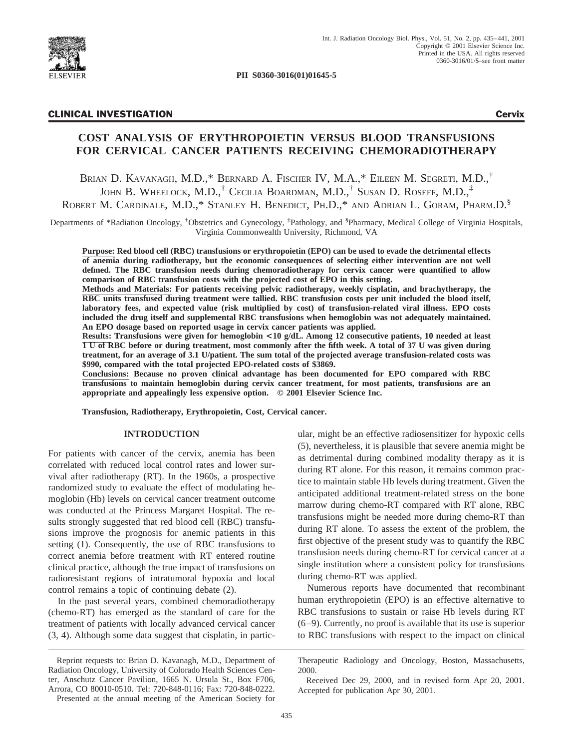

**PII S0360-3016(01)01645-5**

## CLINICAL INVESTIGATION Cervix

# **COST ANALYSIS OF ERYTHROPOIETIN VERSUS BLOOD TRANSFUSIONS FOR CERVICAL CANCER PATIENTS RECEIVING CHEMORADIOTHERAPY**

BRIAN D. KAVANAGH, M.D.,\* BERNARD A. FISCHER IV, M.A.,\* EILEEN M. SEGRETI, M.D.,† JOHN B. WHEELOCK, M.D.,<sup>†</sup> Cecilia Boardman, M.D.,<sup>†</sup> Susan D. Roseff, M.D.,<sup>‡</sup>

ROBERT M. CARDINALE, M.D.,\* STANLEY H. BENEDICT, PH.D.,\* AND ADRIAN L. GORAM, PHARM.D.<sup>§</sup>

Departments of \*Radiation Oncology, <sup>†</sup>Obstetrics and Gynecology, <sup>‡</sup>Pathology, and <sup>§</sup>Pharmacy, Medical College of Virginia Hospitals, Virginia Commonwealth University, Richmond, VA

**Purpose: Red blood cell (RBC) transfusions or erythropoietin (EPO) can be used to evade the detrimental effects of anemia during radiotherapy, but the economic consequences of selecting either intervention are not well defined. The RBC transfusion needs during chemoradiotherapy for cervix cancer were quantified to allow comparison of RBC transfusion costs with the projected cost of EPO in this setting.**

**Methods and Materials: For patients receiving pelvic radiotherapy, weekly cisplatin, and brachytherapy, the RBC units transfused during treatment were tallied. RBC transfusion costs per unit included the blood itself, laboratory fees, and expected value (risk multiplied by cost) of transfusion-related viral illness. EPO costs included the drug itself and supplemental RBC transfusions when hemoglobin was not adequately maintained. An EPO dosage based on reported usage in cervix cancer patients was applied.**

**Results: Transfusions were given for hemoglobin <10 g/dL. Among 12 consecutive patients, 10 needed at least 1 U of RBC before or during treatment, most commonly after the fifth week. A total of 37 U was given during treatment, for an average of 3.1 U/patient. The sum total of the projected average transfusion-related costs was \$990, compared with the total projected EPO-related costs of \$3869.**

**Conclusions: Because no proven clinical advantage has been documented for EPO compared with RBC transfusions to maintain hemoglobin during cervix cancer treatment, for most patients, transfusions are an appropriate and appealingly less expensive option. © 2001 Elsevier Science Inc.**

**Transfusion, Radiotherapy, Erythropoietin, Cost, Cervical cancer.**

## **INTRODUCTION**

For patients with cancer of the cervix, anemia has been correlated with reduced local control rates and lower survival after radiotherapy (RT). In the 1960s, a prospective randomized study to evaluate the effect of modulating hemoglobin (Hb) levels on cervical cancer treatment outcome was conducted at the Princess Margaret Hospital. The results strongly suggested that red blood cell (RBC) transfusions improve the prognosis for anemic patients in this setting (1). Consequently, the use of RBC transfusions to correct anemia before treatment with RT entered routine clinical practice, although the true impact of transfusions on radioresistant regions of intratumoral hypoxia and local control remains a topic of continuing debate (2).

In the past several years, combined chemoradiotherapy (chemo-RT) has emerged as the standard of care for the treatment of patients with locally advanced cervical cancer (3, 4). Although some data suggest that cisplatin, in partic-

Reprint requests to: Brian D. Kavanagh, M.D., Department of Radiation Oncology, University of Colorado Health Sciences Center, Anschutz Cancer Pavilion, 1665 N. Ursula St., Box F706, Arrora, CO 80010-0510. Tel: 720-848-0116; Fax: 720-848-0222.

Presented at the annual meeting of the American Society for

ular, might be an effective radiosensitizer for hypoxic cells (5), nevertheless, it is plausible that severe anemia might be as detrimental during combined modality therapy as it is during RT alone. For this reason, it remains common practice to maintain stable Hb levels during treatment. Given the anticipated additional treatment-related stress on the bone marrow during chemo-RT compared with RT alone, RBC transfusions might be needed more during chemo-RT than during RT alone. To assess the extent of the problem, the first objective of the present study was to quantify the RBC transfusion needs during chemo-RT for cervical cancer at a single institution where a consistent policy for transfusions during chemo-RT was applied.

Numerous reports have documented that recombinant human erythropoietin (EPO) is an effective alternative to RBC transfusions to sustain or raise Hb levels during RT (6–9). Currently, no proof is available that its use is superior to RBC transfusions with respect to the impact on clinical

Therapeutic Radiology and Oncology, Boston, Massachusetts, 2000.

Received Dec 29, 2000, and in revised form Apr 20, 2001. Accepted for publication Apr 30, 2001.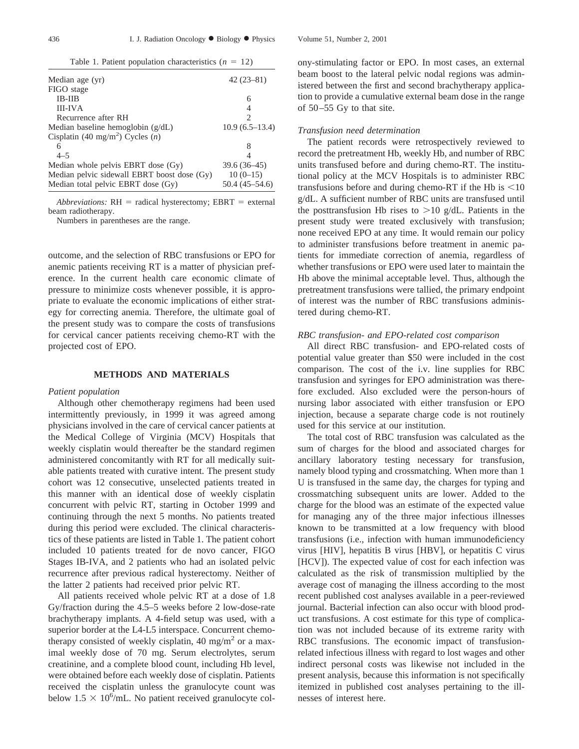Table 1. Patient population characteristics  $(n = 12)$ 

| Median age (yr)                                | $42(23-81)$      |
|------------------------------------------------|------------------|
| FIGO stage                                     |                  |
| <b>IB-IIB</b>                                  | 6                |
| <b>III-IVA</b>                                 |                  |
| Recurrence after RH                            |                  |
| Median baseline hemoglobin $(g/dL)$            | $10.9(6.5-13.4)$ |
| Cisplatin (40 mg/m <sup>2</sup> ) Cycles $(n)$ |                  |
| 6                                              |                  |
| $4 - 5$                                        |                  |
| Median whole pelvis EBRT dose (Gy)             | $39.6(36-45)$    |
| Median pelvic sidewall EBRT boost dose (Gy)    | $10(0-15)$       |
| Median total pelvic EBRT dose (Gy)             | $50.4(45-54.6)$  |

*Abbreviations:*  $RH =$  radical hysterectomy;  $EBRT =$  external beam radiotherapy.

Numbers in parentheses are the range.

outcome, and the selection of RBC transfusions or EPO for anemic patients receiving RT is a matter of physician preference. In the current health care economic climate of pressure to minimize costs whenever possible, it is appropriate to evaluate the economic implications of either strategy for correcting anemia. Therefore, the ultimate goal of the present study was to compare the costs of transfusions for cervical cancer patients receiving chemo-RT with the projected cost of EPO.

## **METHODS AND MATERIALS**

#### *Patient population*

Although other chemotherapy regimens had been used intermittently previously, in 1999 it was agreed among physicians involved in the care of cervical cancer patients at the Medical College of Virginia (MCV) Hospitals that weekly cisplatin would thereafter be the standard regimen administered concomitantly with RT for all medically suitable patients treated with curative intent. The present study cohort was 12 consecutive, unselected patients treated in this manner with an identical dose of weekly cisplatin concurrent with pelvic RT, starting in October 1999 and continuing through the next 5 months. No patients treated during this period were excluded. The clinical characteristics of these patients are listed in Table 1. The patient cohort included 10 patients treated for de novo cancer, FIGO Stages IB-IVA, and 2 patients who had an isolated pelvic recurrence after previous radical hysterectomy. Neither of the latter 2 patients had received prior pelvic RT.

All patients received whole pelvic RT at a dose of 1.8 Gy/fraction during the 4.5–5 weeks before 2 low-dose-rate brachytherapy implants. A 4-field setup was used, with a superior border at the L4-L5 interspace. Concurrent chemotherapy consisted of weekly cisplatin, 40 mg/m<sup>2</sup> or a maximal weekly dose of 70 mg. Serum electrolytes, serum creatinine, and a complete blood count, including Hb level, were obtained before each weekly dose of cisplatin. Patients received the cisplatin unless the granulocyte count was below  $1.5 \times 10^6$ /mL. No patient received granulocyte colony-stimulating factor or EPO. In most cases, an external beam boost to the lateral pelvic nodal regions was administered between the first and second brachytherapy application to provide a cumulative external beam dose in the range of 50–55 Gy to that site.

### *Transfusion need determination*

The patient records were retrospectively reviewed to record the pretreatment Hb, weekly Hb, and number of RBC units transfused before and during chemo-RT. The institutional policy at the MCV Hospitals is to administer RBC transfusions before and during chemo-RT if the Hb is  $\leq 10$ g/dL. A sufficient number of RBC units are transfused until the posttransfusion Hb rises to  $>10$  g/dL. Patients in the present study were treated exclusively with transfusion; none received EPO at any time. It would remain our policy to administer transfusions before treatment in anemic patients for immediate correction of anemia, regardless of whether transfusions or EPO were used later to maintain the Hb above the minimal acceptable level. Thus, although the pretreatment transfusions were tallied, the primary endpoint of interest was the number of RBC transfusions administered during chemo-RT.

#### *RBC transfusion- and EPO-related cost comparison*

All direct RBC transfusion- and EPO-related costs of potential value greater than \$50 were included in the cost comparison. The cost of the i.v. line supplies for RBC transfusion and syringes for EPO administration was therefore excluded. Also excluded were the person-hours of nursing labor associated with either transfusion or EPO injection, because a separate charge code is not routinely used for this service at our institution.

The total cost of RBC transfusion was calculated as the sum of charges for the blood and associated charges for ancillary laboratory testing necessary for transfusion, namely blood typing and crossmatching. When more than 1 U is transfused in the same day, the charges for typing and crossmatching subsequent units are lower. Added to the charge for the blood was an estimate of the expected value for managing any of the three major infectious illnesses known to be transmitted at a low frequency with blood transfusions (i.e., infection with human immunodeficiency virus [HIV], hepatitis B virus [HBV], or hepatitis C virus [HCV]). The expected value of cost for each infection was calculated as the risk of transmission multiplied by the average cost of managing the illness according to the most recent published cost analyses available in a peer-reviewed journal. Bacterial infection can also occur with blood product transfusions. A cost estimate for this type of complication was not included because of its extreme rarity with RBC transfusions. The economic impact of transfusionrelated infectious illness with regard to lost wages and other indirect personal costs was likewise not included in the present analysis, because this information is not specifically itemized in published cost analyses pertaining to the illnesses of interest here.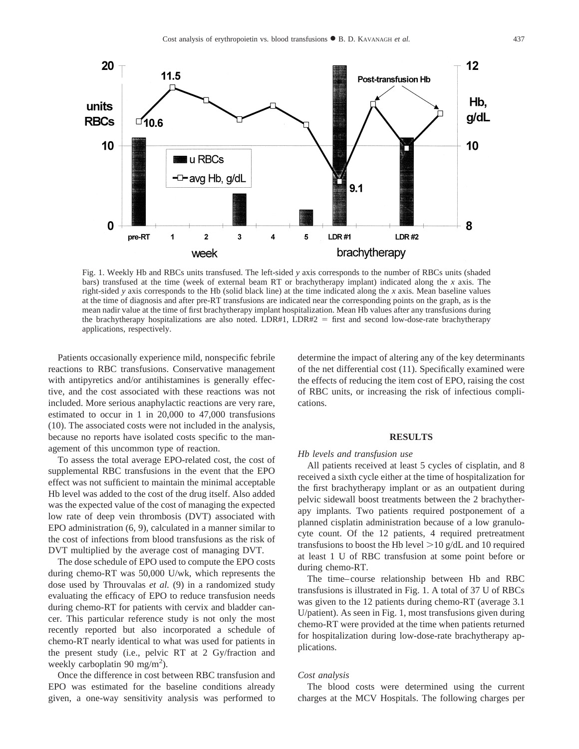

Fig. 1. Weekly Hb and RBCs units transfused. The left-sided *y* axis corresponds to the number of RBCs units (shaded bars) transfused at the time (week of external beam RT or brachytherapy implant) indicated along the *x* axis. The right-sided *y* axis corresponds to the Hb (solid black line) at the time indicated along the *x* axis. Mean baseline values at the time of diagnosis and after pre-RT transfusions are indicated near the corresponding points on the graph, as is the mean nadir value at the time of first brachytherapy implant hospitalization. Mean Hb values after any transfusions during the brachytherapy hospitalizations are also noted. LDR#1, LDR#2 = first and second low-dose-rate brachytherapy applications, respectively.

Patients occasionally experience mild, nonspecific febrile reactions to RBC transfusions. Conservative management with antipyretics and/or antihistamines is generally effective, and the cost associated with these reactions was not included. More serious anaphylactic reactions are very rare, estimated to occur in 1 in 20,000 to 47,000 transfusions (10). The associated costs were not included in the analysis, because no reports have isolated costs specific to the management of this uncommon type of reaction.

To assess the total average EPO-related cost, the cost of supplemental RBC transfusions in the event that the EPO effect was not sufficient to maintain the minimal acceptable Hb level was added to the cost of the drug itself. Also added was the expected value of the cost of managing the expected low rate of deep vein thrombosis (DVT) associated with EPO administration (6, 9), calculated in a manner similar to the cost of infections from blood transfusions as the risk of DVT multiplied by the average cost of managing DVT.

The dose schedule of EPO used to compute the EPO costs during chemo-RT was 50,000 U/wk, which represents the dose used by Throuvalas *et al.* (9) in a randomized study evaluating the efficacy of EPO to reduce transfusion needs during chemo-RT for patients with cervix and bladder cancer. This particular reference study is not only the most recently reported but also incorporated a schedule of chemo-RT nearly identical to what was used for patients in the present study (i.e., pelvic RT at 2 Gy/fraction and weekly carboplatin 90 mg/m<sup>2</sup>).

Once the difference in cost between RBC transfusion and EPO was estimated for the baseline conditions already given, a one-way sensitivity analysis was performed to determine the impact of altering any of the key determinants of the net differential cost (11). Specifically examined were the effects of reducing the item cost of EPO, raising the cost of RBC units, or increasing the risk of infectious complications.

#### **RESULTS**

## *Hb levels and transfusion use*

All patients received at least 5 cycles of cisplatin, and 8 received a sixth cycle either at the time of hospitalization for the first brachytherapy implant or as an outpatient during pelvic sidewall boost treatments between the 2 brachytherapy implants. Two patients required postponement of a planned cisplatin administration because of a low granulocyte count. Of the 12 patients, 4 required pretreatment transfusions to boost the Hb level  $>$ 10 g/dL and 10 required at least 1 U of RBC transfusion at some point before or during chemo-RT.

The time–course relationship between Hb and RBC transfusions is illustrated in Fig. 1. A total of 37 U of RBCs was given to the 12 patients during chemo-RT (average 3.1 U/patient). As seen in Fig. 1, most transfusions given during chemo-RT were provided at the time when patients returned for hospitalization during low-dose-rate brachytherapy applications.

## *Cost analysis*

The blood costs were determined using the current charges at the MCV Hospitals. The following charges per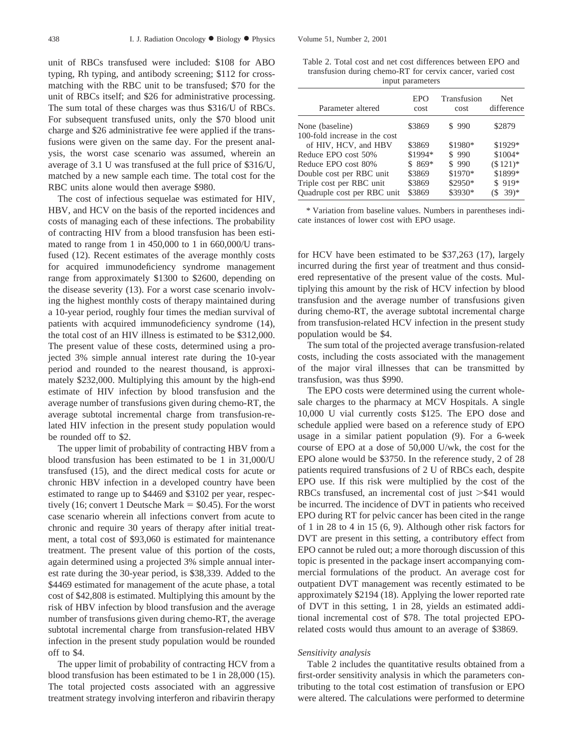unit of RBCs transfused were included: \$108 for ABO typing, Rh typing, and antibody screening; \$112 for crossmatching with the RBC unit to be transfused; \$70 for the unit of RBCs itself; and \$26 for administrative processing. The sum total of these charges was thus \$316/U of RBCs. For subsequent transfused units, only the \$70 blood unit charge and \$26 administrative fee were applied if the transfusions were given on the same day. For the present analysis, the worst case scenario was assumed, wherein an average of 3.1 U was transfused at the full price of \$316/U, matched by a new sample each time. The total cost for the RBC units alone would then average \$980.

The cost of infectious sequelae was estimated for HIV, HBV, and HCV on the basis of the reported incidences and costs of managing each of these infections. The probability of contracting HIV from a blood transfusion has been estimated to range from 1 in 450,000 to 1 in 660,000/U transfused (12). Recent estimates of the average monthly costs for acquired immunodeficiency syndrome management range from approximately \$1300 to \$2600, depending on the disease severity (13). For a worst case scenario involving the highest monthly costs of therapy maintained during a 10-year period, roughly four times the median survival of patients with acquired immunodeficiency syndrome (14), the total cost of an HIV illness is estimated to be \$312,000. The present value of these costs, determined using a projected 3% simple annual interest rate during the 10-year period and rounded to the nearest thousand, is approximately \$232,000. Multiplying this amount by the high-end estimate of HIV infection by blood transfusion and the average number of transfusions given during chemo-RT, the average subtotal incremental charge from transfusion-related HIV infection in the present study population would be rounded off to \$2.

The upper limit of probability of contracting HBV from a blood transfusion has been estimated to be 1 in 31,000/U transfused (15), and the direct medical costs for acute or chronic HBV infection in a developed country have been estimated to range up to \$4469 and \$3102 per year, respectively (16; convert 1 Deutsche Mark =  $$0.45$ ). For the worst case scenario wherein all infections convert from acute to chronic and require 30 years of therapy after initial treatment, a total cost of \$93,060 is estimated for maintenance treatment. The present value of this portion of the costs, again determined using a projected 3% simple annual interest rate during the 30-year period, is \$38,339. Added to the \$4469 estimated for management of the acute phase, a total cost of \$42,808 is estimated. Multiplying this amount by the risk of HBV infection by blood transfusion and the average number of transfusions given during chemo-RT, the average subtotal incremental charge from transfusion-related HBV infection in the present study population would be rounded off to \$4.

The upper limit of probability of contracting HCV from a blood transfusion has been estimated to be 1 in 28,000 (15). The total projected costs associated with an aggressive treatment strategy involving interferon and ribavirin therapy

| Table 2. Total cost and net cost differences between EPO and |  |  |  |
|--------------------------------------------------------------|--|--|--|
| transfusion during chemo-RT for cervix cancer, varied cost   |  |  |  |
| input parameters                                             |  |  |  |

| Parameter altered             | EPO<br>cost | Transfusion<br>cost | Net<br>difference |
|-------------------------------|-------------|---------------------|-------------------|
| None (baseline)               | \$3869      | \$990               | \$2879            |
| 100-fold increase in the cost |             |                     |                   |
| of HIV, HCV, and HBV          | \$3869      | \$1980*             | \$1929*           |
| Reduce EPO cost 50%           | \$1994*     | \$990               | $$1004*$          |
| Reduce EPO cost 80%           | $$869*$     | \$990               | $($121)*$         |
| Double cost per RBC unit      | \$3869      | \$1970*             | \$1899*           |
| Triple cost per RBC unit      | \$3869      | $$2950*$            | $$919*$           |
| Quadruple cost per RBC unit   | \$3869      | \$3930*             | $(39)*$           |

\* Variation from baseline values. Numbers in parentheses indicate instances of lower cost with EPO usage.

for HCV have been estimated to be \$37,263 (17), largely incurred during the first year of treatment and thus considered representative of the present value of the costs. Multiplying this amount by the risk of HCV infection by blood transfusion and the average number of transfusions given during chemo-RT, the average subtotal incremental charge from transfusion-related HCV infection in the present study population would be \$4.

The sum total of the projected average transfusion-related costs, including the costs associated with the management of the major viral illnesses that can be transmitted by transfusion, was thus \$990.

The EPO costs were determined using the current wholesale charges to the pharmacy at MCV Hospitals. A single 10,000 U vial currently costs \$125. The EPO dose and schedule applied were based on a reference study of EPO usage in a similar patient population (9). For a 6-week course of EPO at a dose of 50,000 U/wk, the cost for the EPO alone would be \$3750. In the reference study, 2 of 28 patients required transfusions of 2 U of RBCs each, despite EPO use. If this risk were multiplied by the cost of the RBCs transfused, an incremental cost of just  $> $41$  would be incurred. The incidence of DVT in patients who received EPO during RT for pelvic cancer has been cited in the range of 1 in 28 to 4 in 15 (6, 9). Although other risk factors for DVT are present in this setting, a contributory effect from EPO cannot be ruled out; a more thorough discussion of this topic is presented in the package insert accompanying commercial formulations of the product. An average cost for outpatient DVT management was recently estimated to be approximately \$2194 (18). Applying the lower reported rate of DVT in this setting, 1 in 28, yields an estimated additional incremental cost of \$78. The total projected EPOrelated costs would thus amount to an average of \$3869.

#### *Sensitivity analysis*

Table 2 includes the quantitative results obtained from a first-order sensitivity analysis in which the parameters contributing to the total cost estimation of transfusion or EPO were altered. The calculations were performed to determine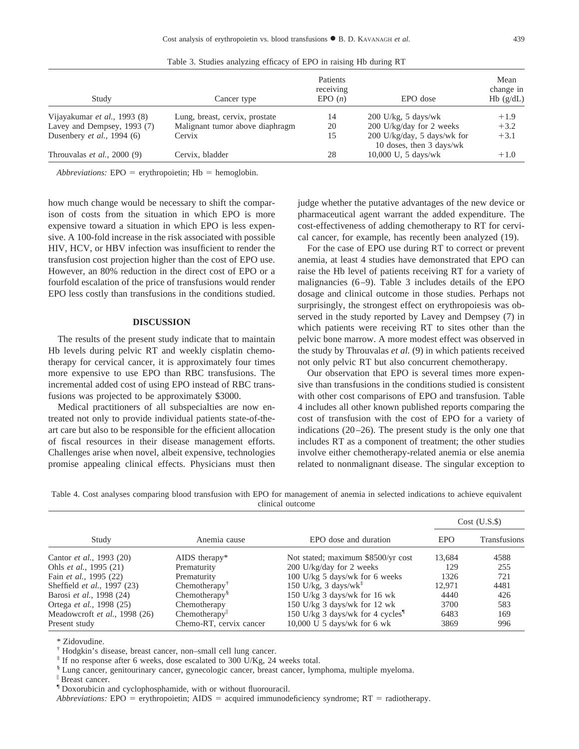| Study                                | Cancer type                     | Patients<br>receiving<br>EPO(n) | EPO dose                                                  | Mean<br>change in<br>Hb(g/dL) |
|--------------------------------------|---------------------------------|---------------------------------|-----------------------------------------------------------|-------------------------------|
| Vijayakumar et al., 1993 (8)         | Lung, breast, cervix, prostate  | 14                              | $200$ U/kg, 5 days/wk                                     | $+1.9$                        |
| Lavey and Dempsey, 1993 (7)          | Malignant tumor above diaphragm | 20                              | 200 U/kg/day for 2 weeks                                  | $+3.2$                        |
| Dusenbery <i>et al.</i> , 1994 $(6)$ | Cervix                          | 15                              | $200$ U/kg/day, 5 days/wk for<br>10 doses, then 3 days/wk | $+3.1$                        |
| Throuvalas <i>et al.</i> , 2000 (9)  | Cervix, bladder                 | 28                              | $10,000$ U, 5 days/wk                                     | $+1.0$                        |

Table 3. Studies analyzing efficacy of EPO in raising Hb during RT

*Abbreviations:*  $EPO =$  erythropoietin;  $Hb =$  hemoglobin.

how much change would be necessary to shift the comparison of costs from the situation in which EPO is more expensive toward a situation in which EPO is less expensive. A 100-fold increase in the risk associated with possible HIV, HCV, or HBV infection was insufficient to render the transfusion cost projection higher than the cost of EPO use. However, an 80% reduction in the direct cost of EPO or a fourfold escalation of the price of transfusions would render EPO less costly than transfusions in the conditions studied.

## **DISCUSSION**

The results of the present study indicate that to maintain Hb levels during pelvic RT and weekly cisplatin chemotherapy for cervical cancer, it is approximately four times more expensive to use EPO than RBC transfusions. The incremental added cost of using EPO instead of RBC transfusions was projected to be approximately \$3000.

Medical practitioners of all subspecialties are now entreated not only to provide individual patients state-of-theart care but also to be responsible for the efficient allocation of fiscal resources in their disease management efforts. Challenges arise when novel, albeit expensive, technologies promise appealing clinical effects. Physicians must then judge whether the putative advantages of the new device or pharmaceutical agent warrant the added expenditure. The cost-effectiveness of adding chemotherapy to RT for cervical cancer, for example, has recently been analyzed (19).

For the case of EPO use during RT to correct or prevent anemia, at least 4 studies have demonstrated that EPO can raise the Hb level of patients receiving RT for a variety of malignancies (6–9). Table 3 includes details of the EPO dosage and clinical outcome in those studies. Perhaps not surprisingly, the strongest effect on erythropoiesis was observed in the study reported by Lavey and Dempsey (7) in which patients were receiving RT to sites other than the pelvic bone marrow. A more modest effect was observed in the study by Throuvalas *et al.* (9) in which patients received not only pelvic RT but also concurrent chemotherapy.

Our observation that EPO is several times more expensive than transfusions in the conditions studied is consistent with other cost comparisons of EPO and transfusion. Table 4 includes all other known published reports comparing the cost of transfusion with the cost of EPO for a variety of indications (20–26). The present study is the only one that includes RT as a component of treatment; the other studies involve either chemotherapy-related anemia or else anemia related to nonmalignant disease. The singular exception to

Table 4. Cost analyses comparing blood transfusion with EPO for management of anemia in selected indications to achieve equivalent clinical outcome

| Study                            |                           |                                              | Cost (U.S.S.) |              |
|----------------------------------|---------------------------|----------------------------------------------|---------------|--------------|
|                                  | Anemia cause              | EPO dose and duration                        | EPO           | Transfusions |
| Cantor <i>et al.</i> , 1993 (20) | AIDS therapy $*$          | Not stated; maximum \$8500/yr cost           | 13.684        | 4588         |
| Ohls et al., 1995 (21)           | Prematurity               | 200 U/kg/day for 2 weeks                     | 129           | 255          |
| Fain et al., 1995 (22)           | Prematurity               | 100 U/kg 5 days/wk for 6 weeks               | 1326          | 721          |
| Sheffield et al., 1997 (23)      | $Chemotherapy^{\dagger}$  | 150 U/kg, 3 days/wk $\frac{1}{2}$            | 12.971        | 4481         |
| Barosi et al., 1998 (24)         | Chemotherapy <sup>§</sup> | 150 U/kg $3$ days/wk for 16 wk               | 4440          | 426          |
| Ortega <i>et al.</i> , 1998 (25) | Chemotherapy              | 150 U/kg $3$ days/wk for 12 wk               | 3700          | 583          |
| Meadowcroft et al., 1998 (26)    | Chemotherapy              | 150 U/kg 3 days/wk for 4 cycles <sup>1</sup> | 6483          | 169          |
| Present study                    | Chemo-RT, cervix cancer   | 10,000 U 5 days/wk for 6 wk                  | 3869          | 996          |

\* Zidovudine.

† Hodgkin's disease, breast cancer, non–small cell lung cancer.

<sup>‡</sup> If no response after 6 weeks, dose escalated to 300 U/Kg, 24 weeks total.

§ Lung cancer, genitourinary cancer, gynecologic cancer, breast cancer, lymphoma, multiple myeloma.

Breast cancer.

¶ Doxorubicin and cyclophosphamide, with or without fluorouracil.

 $Abbreviations: EPO = erythropoietin; AIDS = acquired immunodeficiency syndrome; RT = radiotherapy.$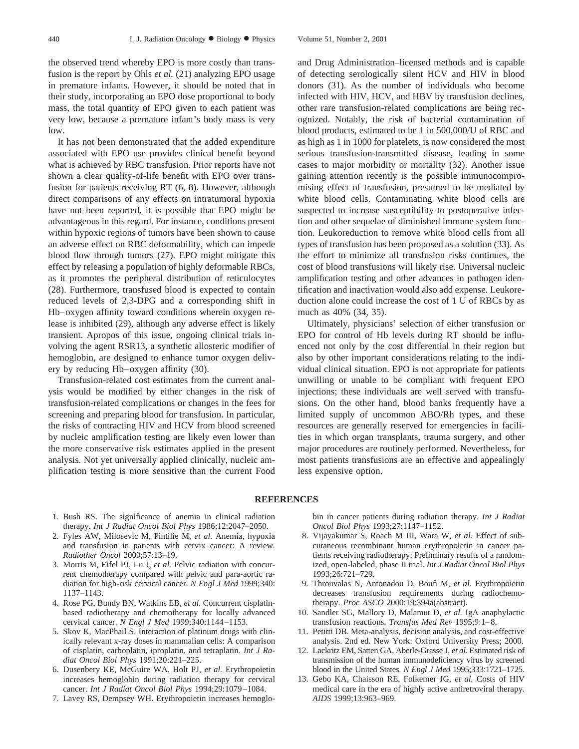the observed trend whereby EPO is more costly than transfusion is the report by Ohls *et al.* (21) analyzing EPO usage in premature infants. However, it should be noted that in their study, incorporating an EPO dose proportional to body mass, the total quantity of EPO given to each patient was very low, because a premature infant's body mass is very low.

It has not been demonstrated that the added expenditure associated with EPO use provides clinical benefit beyond what is achieved by RBC transfusion. Prior reports have not shown a clear quality-of-life benefit with EPO over transfusion for patients receiving RT (6, 8). However, although direct comparisons of any effects on intratumoral hypoxia have not been reported, it is possible that EPO might be advantageous in this regard. For instance, conditions present within hypoxic regions of tumors have been shown to cause an adverse effect on RBC deformability, which can impede blood flow through tumors (27). EPO might mitigate this effect by releasing a population of highly deformable RBCs, as it promotes the peripheral distribution of reticulocytes (28). Furthermore, transfused blood is expected to contain reduced levels of 2,3-DPG and a corresponding shift in Hb–oxygen affinity toward conditions wherein oxygen release is inhibited (29), although any adverse effect is likely transient. Apropos of this issue, ongoing clinical trials involving the agent RSR13, a synthetic allosteric modifier of hemoglobin, are designed to enhance tumor oxygen delivery by reducing Hb–oxygen affinity (30).

Transfusion-related cost estimates from the current analysis would be modified by either changes in the risk of transfusion-related complications or changes in the fees for screening and preparing blood for transfusion. In particular, the risks of contracting HIV and HCV from blood screened by nucleic amplification testing are likely even lower than the more conservative risk estimates applied in the present analysis. Not yet universally applied clinically, nucleic amplification testing is more sensitive than the current Food

and Drug Administration–licensed methods and is capable of detecting serologically silent HCV and HIV in blood donors (31). As the number of individuals who become infected with HIV, HCV, and HBV by transfusion declines, other rare transfusion-related complications are being recognized. Notably, the risk of bacterial contamination of blood products, estimated to be 1 in 500,000/U of RBC and as high as 1 in 1000 for platelets, is now considered the most serious transfusion-transmitted disease, leading in some cases to major morbidity or mortality (32). Another issue gaining attention recently is the possible immunocompromising effect of transfusion, presumed to be mediated by white blood cells. Contaminating white blood cells are suspected to increase susceptibility to postoperative infection and other sequelae of diminished immune system function. Leukoreduction to remove white blood cells from all types of transfusion has been proposed as a solution (33). As the effort to minimize all transfusion risks continues, the cost of blood transfusions will likely rise. Universal nucleic amplification testing and other advances in pathogen identification and inactivation would also add expense. Leukoreduction alone could increase the cost of 1 U of RBCs by as much as 40% (34, 35).

Ultimately, physicians' selection of either transfusion or EPO for control of Hb levels during RT should be influenced not only by the cost differential in their region but also by other important considerations relating to the individual clinical situation. EPO is not appropriate for patients unwilling or unable to be compliant with frequent EPO injections; these individuals are well served with transfusions. On the other hand, blood banks frequently have a limited supply of uncommon ABO/Rh types, and these resources are generally reserved for emergencies in facilities in which organ transplants, trauma surgery, and other major procedures are routinely performed. Nevertheless, for most patients transfusions are an effective and appealingly less expensive option.

# **REFERENCES**

- 1. Bush RS. The significance of anemia in clinical radiation therapy. *Int J Radiat Oncol Biol Phys* 1986;12:2047–2050.
- 2. Fyles AW, Milosevic M, Pintilie M, *et al.* Anemia, hypoxia and transfusion in patients with cervix cancer: A review. *Radiother Oncol* 2000;57:13–19.
- 3. Morris M, Eifel PJ, Lu J, *et al.* Pelvic radiation with concurrent chemotherapy compared with pelvic and para-aortic radiation for high-risk cervical cancer. *N Engl J Med* 1999;340: 1137–1143.
- 4. Rose PG, Bundy BN, Watkins EB, *et al.* Concurrent cisplatinbased radiotherapy and chemotherapy for locally advanced cervical cancer. *N Engl J Med* 1999;340:1144–1153.
- 5. Skov K, MacPhail S. Interaction of platinum drugs with clinically relevant x-ray doses in mammalian cells: A comparison of cisplatin, carboplatin, iproplatin, and tetraplatin. *Int J Radiat Oncol Biol Phys* 1991;20:221–225.
- 6. Dusenbery KE, McGuire WA, Holt PJ, *et al.* Erythropoietin increases hemoglobin during radiation therapy for cervical cancer. *Int J Radiat Oncol Biol Phys* 1994;29:1079–1084.
- 7. Lavey RS, Dempsey WH. Erythropoietin increases hemoglo-

bin in cancer patients during radiation therapy. *Int J Radiat Oncol Biol Phys* 1993;27:1147–1152.

- 8. Vijayakumar S, Roach M III, Wara W, *et al.* Effect of subcutaneous recombinant human erythropoietin in cancer patients receiving radiotherapy: Preliminary results of a randomized, open-labeled, phase II trial. *Int J Radiat Oncol Biol Phys* 1993;26:721–729.
- 9. Throuvalas N, Antonadou D, Boufi M, *et al.* Erythropoietin decreases transfusion requirements during radiochemotherapy. *Proc ASCO* 2000;19:394a(abstract).
- 10. Sandler SG, Mallory D, Malamut D, *et al.* IgA anaphylactic transfusion reactions. *Transfus Med Rev* 1995;9:1–8.
- 11. Petitti DB. Meta-analysis, decision analysis, and cost-effective analysis. 2nd ed. New York: Oxford University Press; 2000.
- 12. Lackritz EM, Satten GA, Aberle-Grasse J, *et al.* Estimated risk of transmission of the human immunodeficiency virus by screened blood in the United States. *N Engl J Med* 1995;333:1721–1725.
- 13. Gebo KA, Chaisson RE, Folkemer JG, *et al.* Costs of HIV medical care in the era of highly active antiretroviral therapy. *AIDS* 1999;13:963–969.